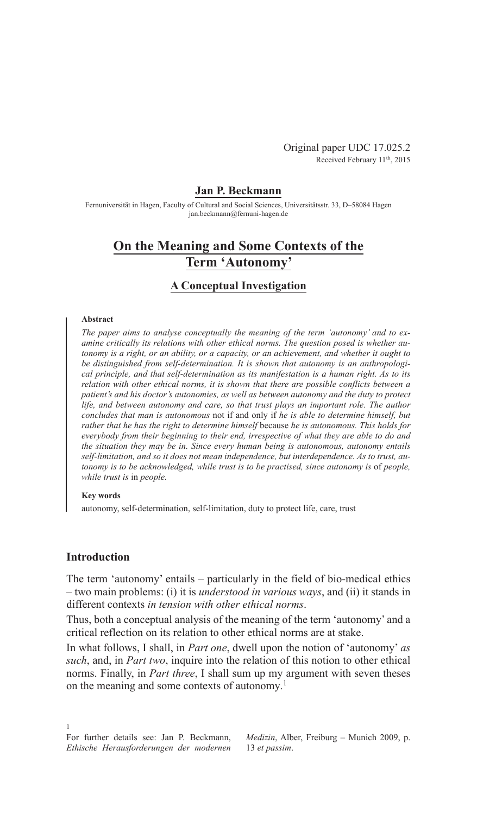Original paper UDC 17.025.2 Received February 11<sup>th</sup>, 2015

## **Jan P. Beckmann**

Fernuniversität in Hagen, Faculty of Cultural and Social Sciences, Universitätsstr. 33, D–58084 Hagen jan.beckmann@fernuni-hagen.de

# **On the Meaning and Some Contexts of the Term 'Autonomy'**

### **A Conceptual Investigation**

#### **Abstract**

*The paper aims to analyse conceptually the meaning of the term 'autonomy' and to examine critically its relations with other ethical norms. The question posed is whether autonomy is a right, or an ability, or a capacity, or an achievement, and whether it ought to be distinguished from self-determination. It is shown that autonomy is an anthropological principle, and that self-determination as its manifestation is a human right. As to its relation with other ethical norms, it is shown that there are possible conflicts between a patient's and his doctor's autonomies, as well as between autonomy and the duty to protect life, and between autonomy and care, so that trust plays an important role. The author concludes that man is autonomous* not if and only if *he is able to determine himself, but rather that he has the right to determine himself* because *he is autonomous. This holds for everybody from their beginning to their end, irrespective of what they are able to do and the situation they may be in. Since every human being is autonomous, autonomy entails self-limitation, and so it does not mean independence, but interdependence. As to trust, autonomy is to be acknowledged, while trust is to be practised, since autonomy is* of *people, while trust is* in *people.*

#### **Key words**

autonomy, self-determination, self-limitation, duty to protect life, care, trust

### **Introduction**

1

The term 'autonomy' entails – particularly in the field of bio-medical ethics – two main problems: (i) it is *understood in various ways*, and (ii) it stands in different contexts *in tension with other ethical norms*.

Thus, both a conceptual analysis of the meaning of the term 'autonomy' and a critical reflection on its relation to other ethical norms are at stake.

In what follows, I shall, in *Part one*, dwell upon the notion of 'autonomy' *as such*, and, in *Part two*, inquire into the relation of this notion to other ethical norms. Finally, in *Part three*, I shall sum up my argument with seven theses on the meaning and some contexts of autonomy. 1

*Medizin*, Alber, Freiburg – Munich 2009, p. 13 *et passim*.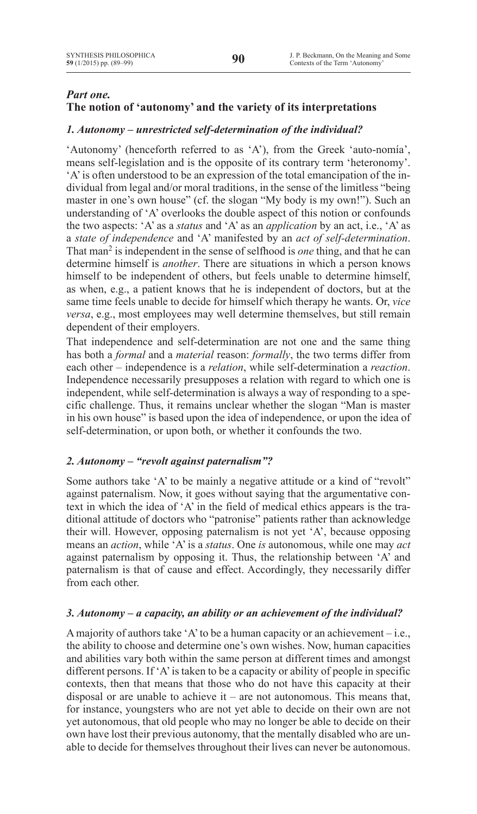# *Part one.*

# **The notion of 'autonomy' and the variety of its interpretations**

# *1. Autonomy – unrestricted self-determination of the individual?*

'Autonomy' (henceforth referred to as 'A'), from the Greek 'auto-nomía', means self-legislation and is the opposite of its contrary term 'heteronomy'. 'A'is often understood to be an expression of the total emancipation of the individual from legal and/or moral traditions, in the sense of the limitless "being master in one's own house" (cf. the slogan "My body is my own!"). Such an understanding of 'A' overlooks the double aspect of this notion or confounds the two aspects: 'A' as a *status* and 'A' as an *application* by an act, i.e., 'A' as a *state of independence* and 'A' manifested by an *act of self-determination*. That man<sup>2</sup> is independent in the sense of selfhood is *one* thing, and that he can determine himself is *another*. There are situations in which a person knows himself to be independent of others, but feels unable to determine himself, as when, e.g., a patient knows that he is independent of doctors, but at the same time feels unable to decide for himself which therapy he wants. Or, *vice versa*, e.g., most employees may well determine themselves, but still remain dependent of their employers.

That independence and self-determination are not one and the same thing has both a *formal* and a *material* reason: *formally*, the two terms differ from each other – independence is a *relation*, while self-determination a *reaction*. Independence necessarily presupposes a relation with regard to which one is independent, while self-determination is always a way of responding to a specific challenge. Thus, it remains unclear whether the slogan "Man is master in his own house" is based upon the idea of independence, or upon the idea of self-determination, or upon both, or whether it confounds the two.

### *2. Autonomy – "revolt against paternalism"?*

Some authors take 'A' to be mainly a negative attitude or a kind of "revolt" against paternalism. Now, it goes without saying that the argumentative context in which the idea of 'A' in the field of medical ethics appears is the traditional attitude of doctors who "patronise" patients rather than acknowledge their will. However, opposing paternalism is not yet 'A', because opposing means an *action*, while 'A'is a *status*. One *is* autonomous, while one may *act*  against paternalism by opposing it. Thus, the relationship between 'A' and paternalism is that of cause and effect. Accordingly, they necessarily differ from each other.

### *3. Autonomy – a capacity, an ability or an achievement of the individual?*

A majority of authors take 'A' to be a human capacity or an achievement  $-i.e.,$ the ability to choose and determine one's own wishes. Now, human capacities and abilities vary both within the same person at different times and amongst different persons. If 'A'is taken to be a capacity or ability of people in specific contexts, then that means that those who do not have this capacity at their disposal or are unable to achieve it – are not autonomous. This means that, for instance, youngsters who are not yet able to decide on their own are not yet autonomous, that old people who may no longer be able to decide on their own have lost their previous autonomy, that the mentally disabled who are unable to decide for themselves throughout their lives can never be autonomous.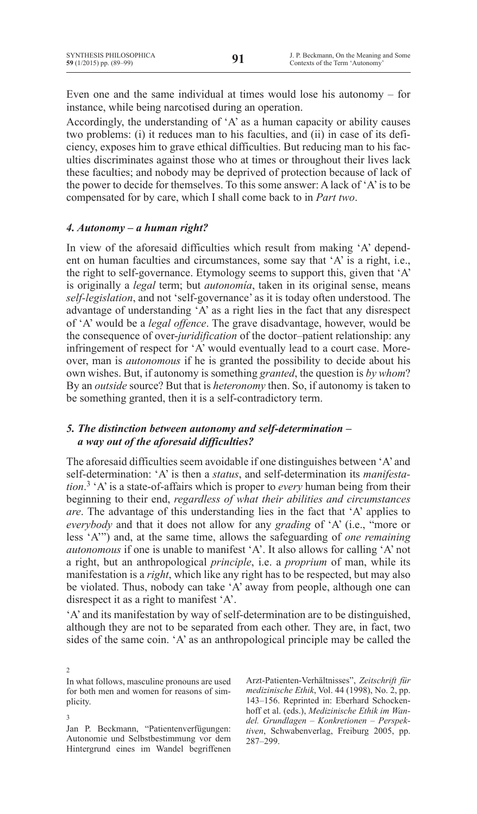Even one and the same individual at times would lose his autonomy – for instance, while being narcotised during an operation.

Accordingly, the understanding of 'A' as a human capacity or ability causes two problems: (i) it reduces man to his faculties, and (ii) in case of its deficiency, exposes him to grave ethical difficulties. But reducing man to his faculties discriminates against those who at times or throughout their lives lack these faculties; and nobody may be deprived of protection because of lack of the power to decide for themselves. To this some answer: A lack of 'A'is to be compensated for by care, which I shall come back to in *Part two*.

### *4. Autonomy – a human right?*

In view of the aforesaid difficulties which result from making 'A' dependent on human faculties and circumstances, some say that 'A' is a right, i.e., the right to self-governance. Etymology seems to support this, given that 'A' is originally a *legal* term; but *autonomía*, taken in its original sense, means *self-legislation*, and not 'self-governance' as it is today often understood. The advantage of understanding 'A' as a right lies in the fact that any disrespect of 'A' would be a *legal offence*. The grave disadvantage, however, would be the consequence of over-*juridification* of the doctor–patient relationship: any infringement of respect for 'A' would eventually lead to a court case. Moreover, man is *autonomous* if he is granted the possibility to decide about his own wishes. But, if autonomy is something *granted*, the question is *by whom*? By an *outside* source? But that is *heteronomy* then. So, if autonomy is taken to be something granted, then it is a self-contradictory term.

### *5. The distinction between autonomy and self-determination – a way out of the aforesaid difficulties?*

The aforesaid difficulties seem avoidable if one distinguishes between 'A' and self-determination: 'A' is then a *status*, and self-determination its *manifestation*. <sup>3</sup> 'A'is a state-of-affairs which is proper to *every* human being from their beginning to their end, *regardless of what their abilities and circumstances are*. The advantage of this understanding lies in the fact that 'A' applies to *everybody* and that it does not allow for any *grading* of 'A' (i.e., "more or less 'A'") and, at the same time, allows the safeguarding of *one remaining autonomous* if one is unable to manifest 'A'. It also allows for calling 'A' not a right, but an anthropological *principle*, i.e. a *proprium* of man, while its manifestation is a *right*, which like any right has to be respected, but may also be violated. Thus, nobody can take 'A' away from people, although one can disrespect it as a right to manifest 'A'.

'A' and its manifestation by way of self-determination are to be distinguished, although they are not to be separated from each other. They are, in fact, two sides of the same coin. 'A' as an anthropological principle may be called the

2 In what follows, masculine pronouns are used for both men and women for reasons of simplicity.

3

Arzt-Patienten-Verhältnisses", *Zeitschrift für medizinische Ethik*, Vol. 44 (1998), No. 2, pp. 143–156. Reprinted in: Eberhard Schockenhoff et al. (eds.), *Medizinische Ethik im Wandel. Grundlagen – Konkretionen – Perspektiven*, Schwabenverlag, Freiburg 2005, pp. 287–299.

Jan P. Beckmann, "Patientenverfügungen: Autonomie und Selbstbestimmung vor dem Hintergrund eines im Wandel begriffenen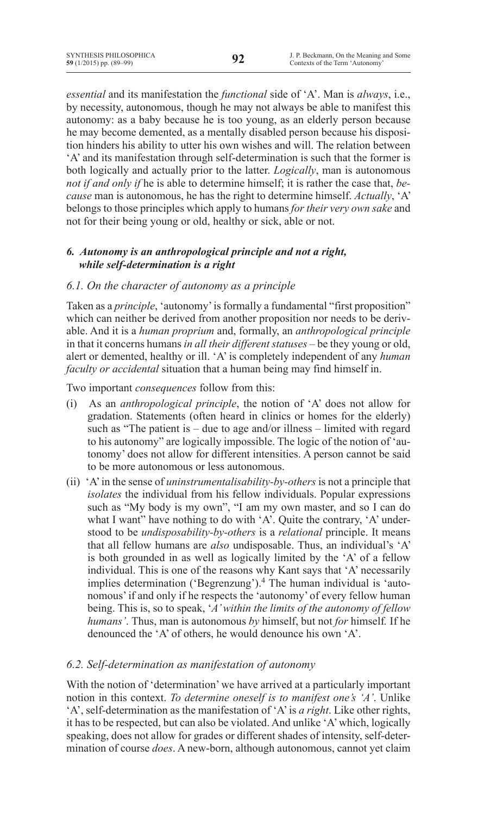*essential* and its manifestation the *functional* side of 'A'. Man is *always*, i.e., by necessity, autonomous, though he may not always be able to manifest this autonomy: as a baby because he is too young, as an elderly person because he may become demented, as a mentally disabled person because his disposition hinders his ability to utter his own wishes and will. The relation between 'A' and its manifestation through self-determination is such that the former is both logically and actually prior to the latter. *Logically*, man is autonomous *not if and only if* he is able to determine himself; it is rather the case that, *because* man is autonomous, he has the right to determine himself. *Actually*, 'A' belongs to those principles which apply to humans *for their very own sake* and not for their being young or old, healthy or sick, able or not.

# *6. Autonomy is an anthropological principle and not a right,  while self-determination is a right*

# *6.1. On the character of autonomy as a principle*

Taken as a *principle*, 'autonomy'is formally a fundamental "first proposition" which can neither be derived from another proposition nor needs to be derivable. And it is a *human proprium* and, formally, an *anthropological principle* in that it concerns humans *in all their different statuses* – be they young or old, alert or demented, healthy or ill. 'A' is completely independent of any *human faculty or accidental* situation that a human being may find himself in.

Two important *consequences* follow from this:

- (i) As an *anthropological principle*, the notion of 'A' does not allow for gradation. Statements (often heard in clinics or homes for the elderly) such as "The patient is – due to age and/or illness – limited with regard to his autonomy" are logically impossible. The logic of the notion of 'autonomy' does not allow for different intensities. A person cannot be said to be more autonomous or less autonomous.
- (ii) 'A'in the sense of *uninstrumentalisability-by-others* is not a principle that *isolates* the individual from his fellow individuals. Popular expressions such as "My body is my own", "I am my own master, and so I can do what I want" have nothing to do with 'A'. Quite the contrary, 'A' understood to be *undisposability-by-others* is a *relational* principle. It means that all fellow humans are *also* undisposable. Thus, an individual's 'A' is both grounded in as well as logically limited by the 'A' of a fellow individual. This is one of the reasons why Kant says that 'A' necessarily implies determination ('Begrenzung').<sup>4</sup> The human individual is 'autonomous'if and only if he respects the 'autonomy' of every fellow human being. This is, so to speak, '*A' within the limits of the autonomy of fellow humans'*. Thus, man is autonomous *by* himself, but not *for* himself*.* If he denounced the 'A' of others, he would denounce his own 'A'.

# *6.2. Self-determination as manifestation of autonomy*

With the notion of 'determination' we have arrived at a particularly important notion in this context. *To determine oneself is to manifest one's 'A'*. Unlike 'A', self-determination as the manifestation of 'A'is *a right*. Like other rights, it has to be respected, but can also be violated. And unlike 'A'which, logically speaking, does not allow for grades or different shades of intensity, self-determination of course *does*. A new-born, although autonomous, cannot yet claim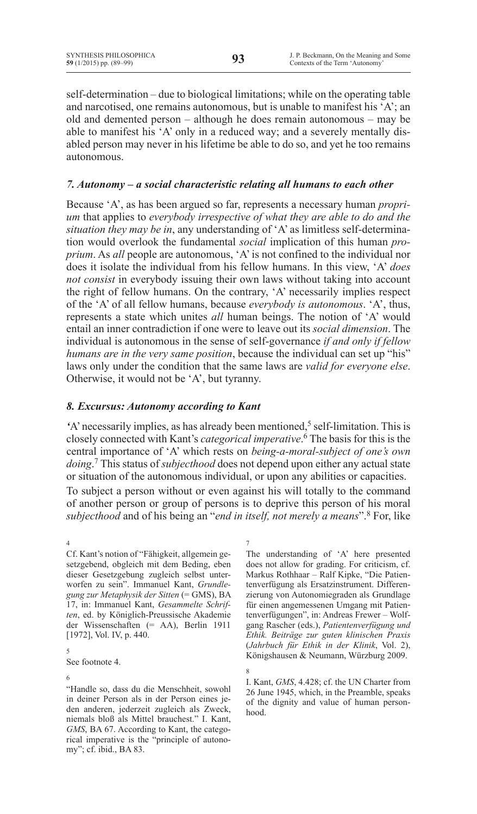self-determination – due to biological limitations; while on the operating table and narcotised, one remains autonomous, but is unable to manifest his 'A'; an old and demented person – although he does remain autonomous – may be able to manifest his 'A' only in a reduced way; and a severely mentally disabled person may never in his lifetime be able to do so, and yet he too remains autonomous.

## *7. Autonomy – a social characteristic relating all humans to each other*

Because 'A', as has been argued so far, represents a necessary human *proprium* that applies to *everybody irrespective of what they are able to do and the situation they may be in*, any understanding of 'A' as limitless self-determination would overlook the fundamental *social* implication of this human *proprium*. As *all* people are autonomous, 'A'is not confined to the individual nor does it isolate the individual from his fellow humans. In this view, 'A' *does not consist* in everybody issuing their own laws without taking into account the right of fellow humans. On the contrary, 'A' necessarily implies respect of the 'A' of all fellow humans, because *everybody is autonomous*. 'A', thus, represents a state which unites *all* human beings. The notion of 'A' would entail an inner contradiction if one were to leave out its *social dimension*. The individual is autonomous in the sense of self-governance *if and only if fellow humans are in the very same position*, because the individual can set up "his" laws only under the condition that the same laws are *valid for everyone else*. Otherwise, it would not be 'A', but tyranny.

# *8. Excursus: Autonomy according to Kant*

'A' necessarily implies, as has already been mentioned,<sup>5</sup> self-limitation. This is closely connected with Kant's *categorical imperative*. <sup>6</sup> The basis for this is the central importance of 'A' which rests on *being-a-moral-subject of one's own doing*. <sup>7</sup> This status of *subjecthood* does not depend upon either any actual state or situation of the autonomous individual, or upon any abilities or capacities.

To subject a person without or even against his will totally to the command of another person or group of persons is to deprive this person of his moral *subjecthood* and of his being an "*end in itself, not merely a means*".8 For, like

5 See footnote 4.

6

7 The understanding of 'A' here presented does not allow for grading. For criticism, cf. Markus Rothhaar – Ralf Kipke, "Die Patientenverfügung als Ersatzinstrument. Differenzierung von Autonomiegraden als Grundlage für einen angemessenen Umgang mit Patientenverfügungen", in: Andreas Frewer – Wolfgang Rascher (eds.), *Patientenverfügung und Ethik. Beiträge zur guten klinischen Praxis* (*Jahrbuch für Ethik in der Klinik*, Vol. 2), Königshausen & Neumann, Würzburg 2009.

I. Kant, *GMS*, 4.428; cf. the UN Charter from 26 June 1945, which, in the Preamble, speaks of the dignity and value of human personhood.

<sup>4</sup> Cf. Kant's notion of "Fähigkeit, allgemein gesetzgebend, obgleich mit dem Beding, eben dieser Gesetzgebung zugleich selbst unterworfen zu sein". Immanuel Kant, *Grundlegung zur Metaphysik der Sitten* (= GMS), BA 17, in: Immanuel Kant, *Gesammelte Schriften*, ed. by Königlich-Preussische Akademie der Wissenschaften (= AA), Berlin 1911 [1972], Vol. IV, p. 440.

<sup>&</sup>quot;Handle so, dass du die Menschheit, sowohl in deiner Person als in der Person eines jeden anderen, jederzeit zugleich als Zweck, niemals bloß als Mittel brauchest." I. Kant, *GMS*, BA 67. According to Kant, the categorical imperative is the "principle of autonomy"; cf. ibid., BA 83.

<sup>8</sup>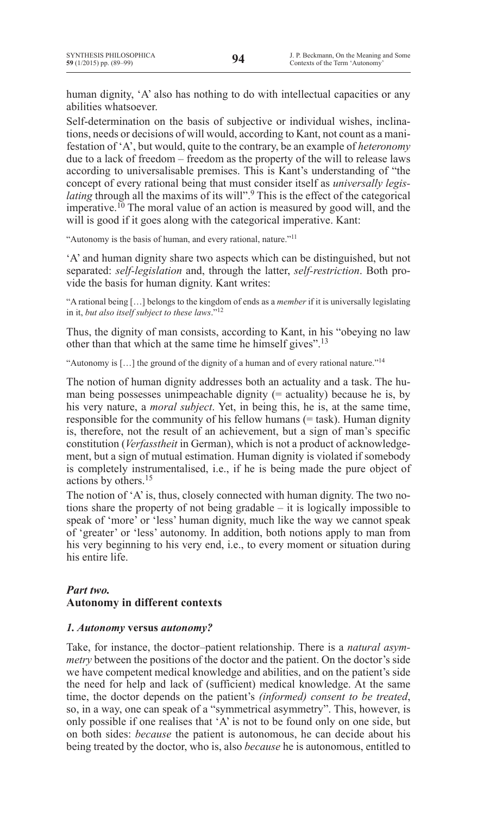human dignity, 'A' also has nothing to do with intellectual capacities or any abilities whatsoever.

Self-determination on the basis of subjective or individual wishes, inclinations, needs or decisions of will would, according to Kant, not count as a manifestation of 'A', but would, quite to the contrary, be an example of *heteronomy* due to a lack of freedom – freedom as the property of the will to release laws according to universalisable premises. This is Kant's understanding of "the concept of every rational being that must consider itself as *universally legislating* through all the maxims of its will".<sup>9</sup> This is the effect of the categorical imperative.<sup>10</sup> The moral value of an action is measured by good will, and the will is good if it goes along with the categorical imperative. Kant:

"Autonomy is the basis of human, and every rational, nature."<sup>11</sup>

'A' and human dignity share two aspects which can be distinguished, but not separated: *self-legislation* and, through the latter, *self-restriction*. Both provide the basis for human dignity. Kant writes:

"A rational being […] belongs to the kingdom of ends as a *member* if it is universally legislating in it, *but also itself subject to these laws*."12

Thus, the dignity of man consists, according to Kant, in his "obeying no law other than that which at the same time he himself gives".13

"Autonomy is […] the ground of the dignity of a human and of every rational nature."14

The notion of human dignity addresses both an actuality and a task. The human being possesses unimpeachable dignity (= actuality) because he is, by his very nature, a *moral subject*. Yet, in being this, he is, at the same time, responsible for the community of his fellow humans (= task). Human dignity is, therefore, not the result of an achievement, but a sign of man's specific constitution (*Verfasstheit* in German), which is not a product of acknowledgement, but a sign of mutual estimation. Human dignity is violated if somebody is completely instrumentalised, i.e., if he is being made the pure object of actions by others.15

The notion of 'A'is, thus, closely connected with human dignity. The two notions share the property of not being gradable – it is logically impossible to speak of 'more' or 'less' human dignity, much like the way we cannot speak of 'greater' or 'less' autonomy. In addition, both notions apply to man from his very beginning to his very end, i.e., to every moment or situation during his entire life.

# *Part two.* **Autonomy in different contexts**

## *1. Autonomy* **versus** *autonomy?*

Take, for instance, the doctor–patient relationship. There is a *natural asymmetry* between the positions of the doctor and the patient. On the doctor's side we have competent medical knowledge and abilities, and on the patient's side the need for help and lack of (sufficient) medical knowledge. At the same time, the doctor depends on the patient's *(informed) consent to be treated*, so, in a way, one can speak of a "symmetrical asymmetry". This, however, is only possible if one realises that 'A' is not to be found only on one side, but on both sides: *because* the patient is autonomous, he can decide about his being treated by the doctor, who is, also *because* he is autonomous, entitled to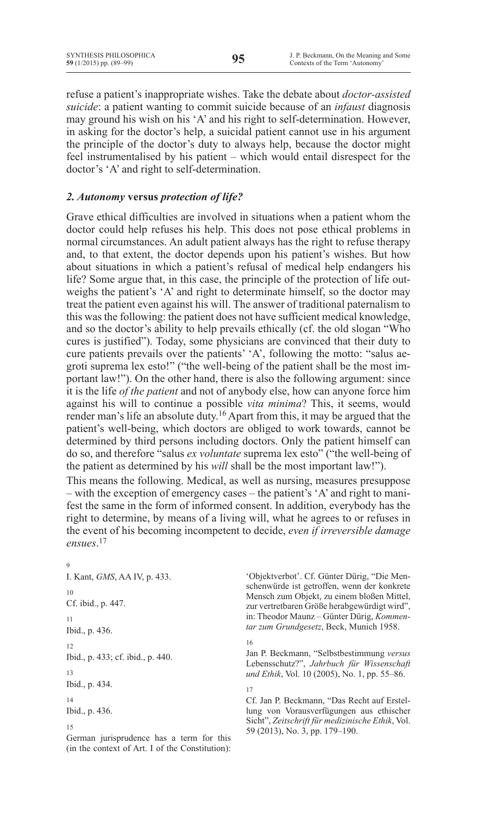refuse a patient's inappropriate wishes. Take the debate about *doctor-assisted suicide*: a patient wanting to commit suicide because of an *infaust* diagnosis may ground his wish on his 'A' and his right to self-determination. However, in asking for the doctor's help, a suicidal patient cannot use in his argument the principle of the doctor's duty to always help, because the doctor might feel instrumentalised by his patient – which would entail disrespect for the doctor's 'A' and right to self-determination.

# *2. Autonomy* **versus** *protection of life?*

Grave ethical difficulties are involved in situations when a patient whom the doctor could help refuses his help. This does not pose ethical problems in normal circumstances. An adult patient always has the right to refuse therapy and, to that extent, the doctor depends upon his patient's wishes. But how about situations in which a patient's refusal of medical help endangers his life? Some argue that, in this case, the principle of the protection of life outweighs the patient's 'A' and right to determinate himself, so the doctor may treat the patient even against his will. The answer of traditional paternalism to this was the following: the patient does not have sufficient medical knowledge, and so the doctor's ability to help prevails ethically (cf. the old slogan "Who cures is justified"). Today, some physicians are convinced that their duty to cure patients prevails over the patients' 'A', following the motto: "salus aegroti suprema lex esto!" ("the well-being of the patient shall be the most important law!"). On the other hand, there is also the following argument: since it is the life *of the patient* and not of anybody else, how can anyone force him against his will to continue a possible *vita minima*? This, it seems, would render man's life an absolute duty.16 Apart from this, it may be argued that the patient's well-being, which doctors are obliged to work towards, cannot be determined by third persons including doctors. Only the patient himself can do so, and therefore "salus *ex voluntate* suprema lex esto" ("the well-being of the patient as determined by his *will* shall be the most important law!").

This means the following. Medical, as well as nursing, measures presuppose – with the exception of emergency cases – the patient's 'A' and right to manifest the same in the form of informed consent. In addition, everybody has the right to determine, by means of a living will, what he agrees to or refuses in the event of his becoming incompetent to decide, *even if irreversible damage ensues*. 17

9 I. Kant, *GMS*, AA IV, p. 433. 10 Cf. ibid., p. 447. 11 Ibid., p. 436. 12 Ibid., p. 433; cf. ibid., p. 440. 13 Ibid., p. 434. 14 Ibid., p. 436. 15

German jurisprudence has a term for this (in the context of Art. I of the Constitution): 'Objektverbot'. Cf. Günter Dürig, "Die Menschenwürde ist getroffen, wenn der konkrete Mensch zum Objekt, zu einem bloßen Mittel, zur vertretbaren Größe herabgewürdigt wird", in: Theodor Maunz – Günter Dürig, *Kommentar zum Grundgesetz*, Beck, Munich 1958.

16

Jan P. Beckmann, "Selbstbestimmung *versus* Lebensschutz?", *Jahrbuch für Wissenschaft und Ethik*, Vol. 10 (2005), No. 1, pp. 55–86.

17

Cf. Jan P. Beckmann, "Das Recht auf Erstellung von Vorausverfügungen aus ethischer Sicht", *Zeitschrift für medizinische Ethik*, Vol. 59 (2013), No. 3, pp. 179–190.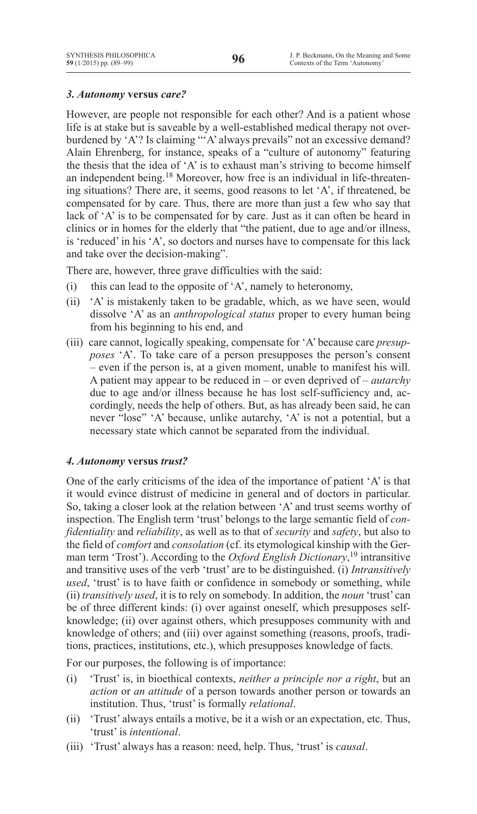# *3. Autonomy* **versus** *care?*

However, are people not responsible for each other? And is a patient whose life is at stake but is saveable by a well-established medical therapy not overburdened by 'A'? Is claiming "'A' always prevails" not an excessive demand? Alain Ehrenberg, for instance, speaks of a "culture of autonomy" featuring the thesis that the idea of 'A' is to exhaust man's striving to become himself an independent being.18 Moreover, how free is an individual in life-threatening situations? There are, it seems, good reasons to let 'A', if threatened, be compensated for by care. Thus, there are more than just a few who say that lack of 'A' is to be compensated for by care. Just as it can often be heard in clinics or in homes for the elderly that "the patient, due to age and/or illness, is 'reduced' in his 'A', so doctors and nurses have to compensate for this lack and take over the decision-making".

There are, however, three grave difficulties with the said:

- (i) this can lead to the opposite of  $A'$ , namely to heteronomy,
- (ii) <sup>'</sup>A' is mistakenly taken to be gradable, which, as we have seen, would dissolve 'A' as an *anthropological status* proper to every human being from his beginning to his end, and
- (iii) care cannot, logically speaking, compensate for 'A' because care *presupposes* 'A'. To take care of a person presupposes the person's consent – even if the person is, at a given moment, unable to manifest his will. A patient may appear to be reduced in – or even deprived of – *autarchy*  due to age and/or illness because he has lost self-sufficiency and, accordingly, needs the help of others. But, as has already been said, he can never "lose" 'A' because, unlike autarchy, 'A' is not a potential, but a necessary state which cannot be separated from the individual.

### *4. Autonomy* **versus** *trust?*

One of the early criticisms of the idea of the importance of patient 'A' is that it would evince distrust of medicine in general and of doctors in particular. So, taking a closer look at the relation between 'A' and trust seems worthy of inspection. The English term 'trust' belongs to the large semantic field of *confidentiality* and *reliability*, as well as to that of *security* and *safety*, but also to the field of *comfort* and *consolation* (cf. its etymological kinship with the German term 'Trost'). According to the *Oxford English Dictionary*, <sup>19</sup> intransitive and transitive uses of the verb 'trust' are to be distinguished. (i) *Intransitively used*, 'trust' is to have faith or confidence in somebody or something, while (ii) *transitively used*, it is to rely on somebody. In addition, the *noun* 'trust' can be of three different kinds: (i) over against oneself, which presupposes selfknowledge; (ii) over against others, which presupposes community with and knowledge of others; and (iii) over against something (reasons, proofs, traditions, practices, institutions, etc.), which presupposes knowledge of facts.

For our purposes, the following is of importance:

- (i) 'Trust' is, in bioethical contexts, *neither a principle nor a right*, but an *action* or *an attitude* of a person towards another person or towards an institution. Thus, 'trust' is formally *relational*.
- (ii) 'Trust' always entails a motive, be it a wish or an expectation, etc. Thus, 'trust' is *intentional*.
- (iii) 'Trust' always has a reason: need, help. Thus, 'trust' is *causal*.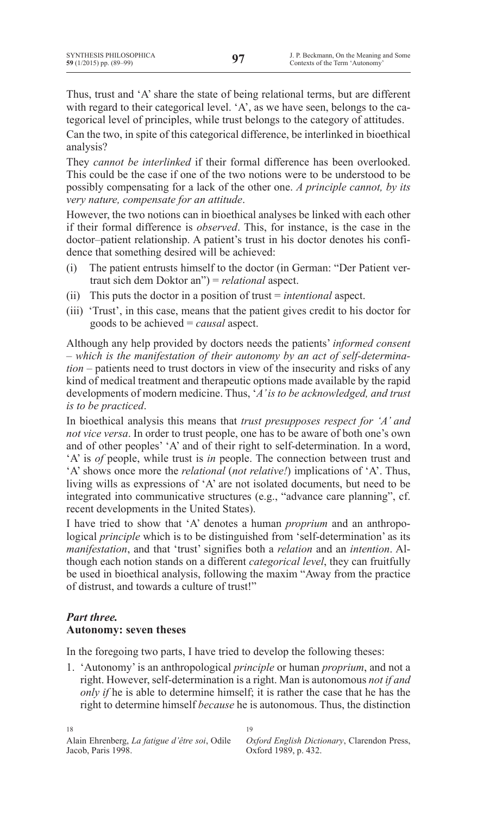Thus, trust and 'A' share the state of being relational terms, but are different with regard to their categorical level. 'A', as we have seen, belongs to the categorical level of principles, while trust belongs to the category of attitudes.

Can the two, in spite of this categorical difference, be interlinked in bioethical analysis?

They *cannot be interlinked* if their formal difference has been overlooked. This could be the case if one of the two notions were to be understood to be possibly compensating for a lack of the other one. *A principle cannot, by its very nature, compensate for an attitude*.

However, the two notions can in bioethical analyses be linked with each other if their formal difference is *observed*. This, for instance, is the case in the doctor–patient relationship. A patient's trust in his doctor denotes his confidence that something desired will be achieved:

- (i) The patient entrusts himself to the doctor (in German: "Der Patient vertraut sich dem Doktor an") = *relational* aspect.
- (ii) This puts the doctor in a position of trust = *intentional* aspect.
- (iii) 'Trust', in this case, means that the patient gives credit to his doctor for goods to be achieved = *causal* aspect.

Although any help provided by doctors needs the patients' *informed consent* – *which is the manifestation of their autonomy by an act of self-determination –* patients need to trust doctors in view of the insecurity and risks of any kind of medical treatment and therapeutic options made available by the rapid developments of modern medicine. Thus, '*A' is to be acknowledged, and trust is to be practiced*.

In bioethical analysis this means that *trust presupposes respect for 'A' and not vice versa*. In order to trust people, one has to be aware of both one's own and of other peoples' 'A' and of their right to self-determination. In a word, 'A' is *of* people, while trust is *in* people. The connection between trust and 'A' shows once more the *relational* (*not relative!*) implications of 'A'. Thus, living wills as expressions of 'A' are not isolated documents, but need to be integrated into communicative structures (e.g., "advance care planning", cf. recent developments in the United States).

I have tried to show that 'A' denotes a human *proprium* and an anthropological *principle* which is to be distinguished from 'self-determination' as its *manifestation*, and that 'trust' signifies both a *relation* and an *intention*. Although each notion stands on a different *categorical level*, they can fruitfully be used in bioethical analysis, following the maxim "Away from the practice of distrust, and towards a culture of trust!"

# *Part three.* **Autonomy: seven theses**

In the foregoing two parts, I have tried to develop the following theses:

1. 'Autonomy' is an anthropological *principle* or human *proprium*, and not a right. However, self-determination is a right. Man is autonomous *not if and only if* he is able to determine himself; it is rather the case that he has the right to determine himself *because* he is autonomous. Thus, the distinction

19

*Oxford English Dictionary*, Clarendon Press, Oxford 1989, p. 432.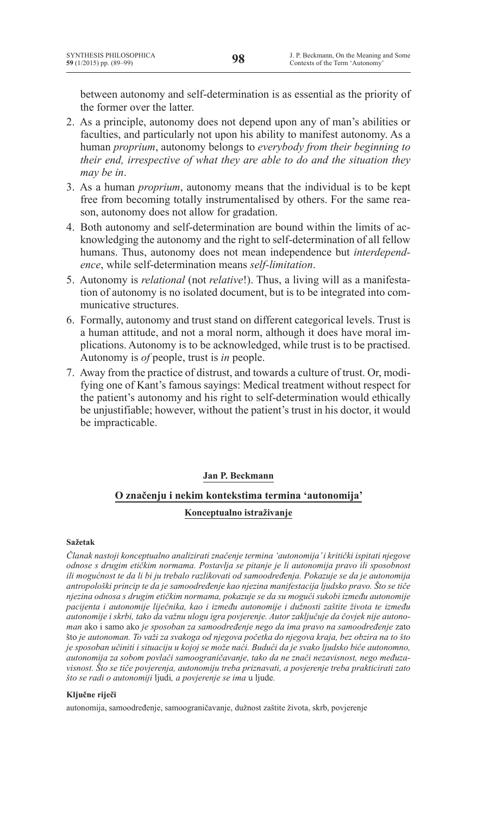between autonomy and self-determination is as essential as the priority of the former over the latter.

- 2. As a principle, autonomy does not depend upon any of man's abilities or faculties, and particularly not upon his ability to manifest autonomy. As a human *proprium*, autonomy belongs to *everybody from their beginning to their end, irrespective of what they are able to do and the situation they may be in*.
- 3. As a human *proprium*, autonomy means that the individual is to be kept free from becoming totally instrumentalised by others. For the same reason, autonomy does not allow for gradation.
- 4. Both autonomy and self-determination are bound within the limits of acknowledging the autonomy and the right to self-determination of all fellow humans. Thus, autonomy does not mean independence but *interdependence*, while self-determination means *self-limitation*.
- 5. Autonomy is *relational* (not *relative*!). Thus, a living will as a manifestation of autonomy is no isolated document, but is to be integrated into communicative structures.
- 6. Formally, autonomy and trust stand on different categorical levels. Trust is a human attitude, and not a moral norm, although it does have moral implications. Autonomy is to be acknowledged, while trust is to be practised. Autonomy is *of* people, trust is *in* people.
- 7. Away from the practice of distrust, and towards a culture of trust. Or, modifying one of Kant's famous sayings: Medical treatment without respect for the patient's autonomy and his right to self-determination would ethically be unjustifiable; however, without the patient's trust in his doctor, it would be impracticable.

### **Jan P. Beckmann**

# **O značenju i nekim kontekstima termina 'autonomija' Konceptualno istraživanje**

### **Sažetak**

*Članak nastoji konceptualno analizirati značenje termina 'autonomija' i kritički ispitati njegove odnose s drugim etičkim normama. Postavlja se pitanje je li autonomija pravo ili sposobnost ili mogućnost te da li bi ju trebalo razlikovati od samoodređenja. Pokazuje se da je autonomija antropološki princip te da je samoodređenje kao njezina manifestacija ljudsko pravo. Što se tiče njezina odnosa s drugim etičkim normama, pokazuje se da su mogući sukobi između autonomije pacijenta i autonomije liječnika, kao i između autonomije i dužnosti zaštite života te između autonomije i skrbi, tako da važnu ulogu igra povjerenje. Autor zaključuje da čovjek nije autonoman* ako i samo ako *je sposoban za samoodređenje nego da ima pravo na samoodređenje* zato što *je autonoman. To važi za svakoga od njegova početka do njegova kraja, bez obzira na to što je sposoban učiniti i situaciju u kojoj se može naći. Budući da je svako ljudsko biće autonomno, autonomija za sobom povlači samoograničavanje, tako da ne znači nezavisnost, nego međuzavisnost. Što se tiče povjerenja, autonomiju treba priznavati, a povjerenje treba prakticirati zato što se radi o autonomiji* ljudi*, a povjerenje se ima* u ljude*.*

### **Ključne riječi**

autonomija, samoodređenje, samoograničavanje, dužnost zaštite života, skrb, povjerenje